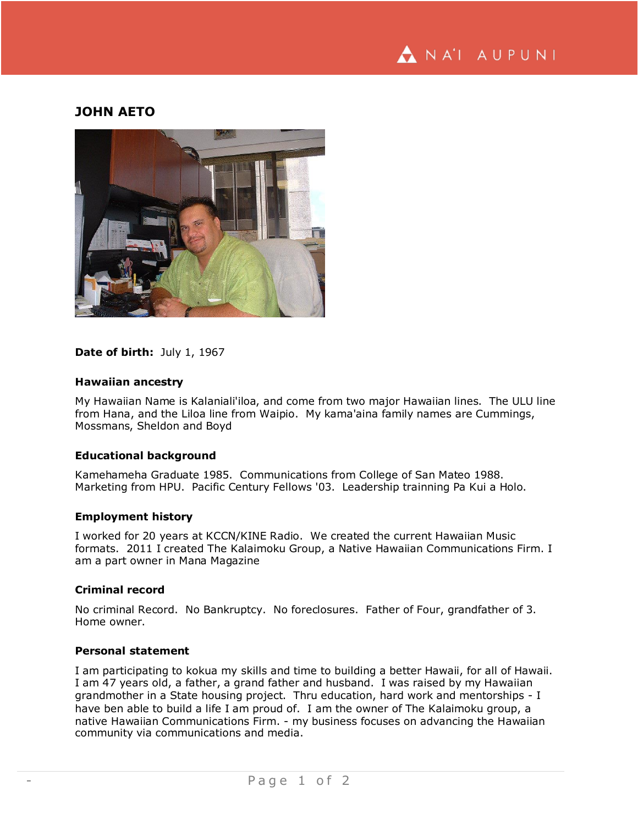# **JOHN AETO**



# **Date of birth:** July 1, 1967

#### **Hawaiian ancestry**

My Hawaiian Name is Kalaniali'iloa, and come from two major Hawaiian lines. The ULU line from Hana, and the Liloa line from Waipio. My kama'aina family names are Cummings, Mossmans, Sheldon and Boyd

#### **Educational background**

Kamehameha Graduate 1985. Communications from College of San Mateo 1988. Marketing from HPU. Pacific Century Fellows '03. Leadership trainning Pa Kui a Holo.

#### **Employment history**

I worked for 20 years at KCCN/KINE Radio. We created the current Hawaiian Music formats. 2011 I created The Kalaimoku Group, a Native Hawaiian Communications Firm. I am a part owner in Mana Magazine

### **Criminal record**

No criminal Record. No Bankruptcy. No foreclosures. Father of Four, grandfather of 3. Home owner.

### **Personal statement**

I am participating to kokua my skills and time to building a better Hawaii, for all of Hawaii. I am 47 years old, a father, a grand father and husband. I was raised by my Hawaiian grandmother in a State housing project. Thru education, hard work and mentorships - I have ben able to build a life I am proud of. I am the owner of The Kalaimoku group, a native Hawaiian Communications Firm. - my business focuses on advancing the Hawaiian community via communications and media.